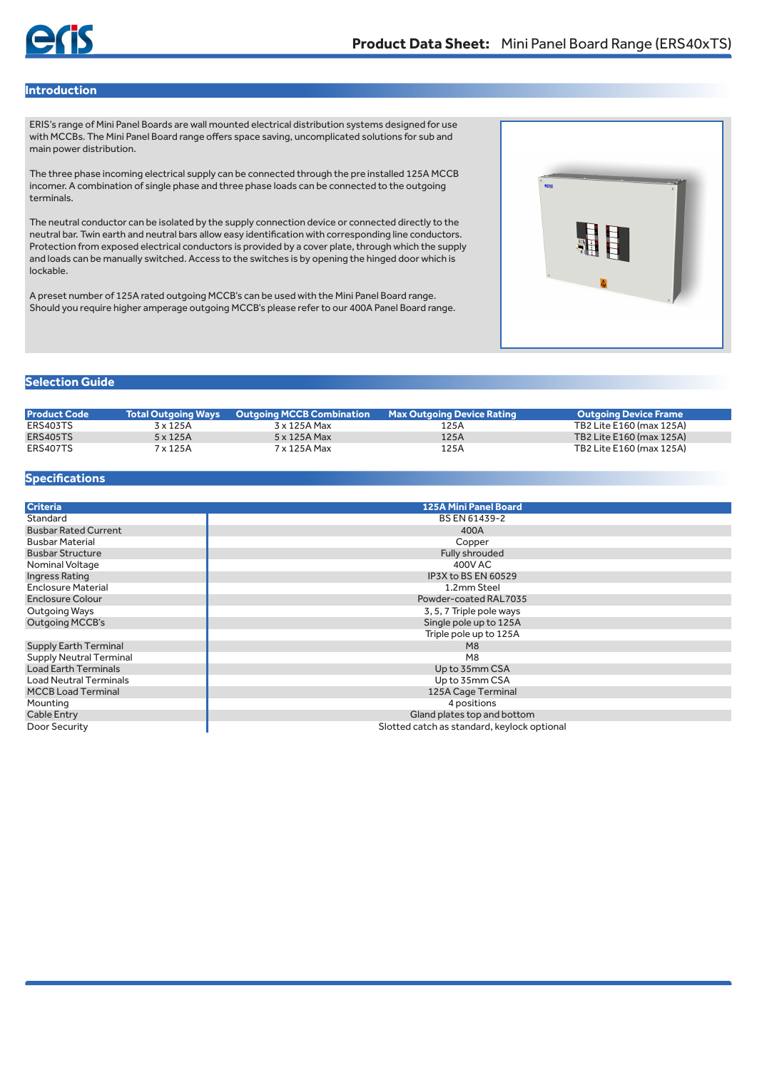## **Introduction**

ERIS's range of Mini Panel Boards are wall mounted electrical distribution systems designed for use with MCCBs. The Mini Panel Board range offers space saving, uncomplicated solutions for sub and main power distribution.

The three phase incoming electrical supply can be connected through the pre installed 125A MCCB incomer. A combination of single phase and three phase loads can be connected to the outgoing terminals.

The neutral conductor can be isolated by the supply connection device or connected directly to the neutral bar. Twin earth and neutral bars allow easy identification with corresponding line conductors. Protection from exposed electrical conductors is provided by a cover plate, through which the supply and loads can be manually switched. Access to the switches is by opening the hinged door which is lockable.

A preset number of 125A rated outgoing MCCB's can be used with the Mini Panel Board range. Should you require higher amperage outgoing MCCB's please refer to our 400A Panel Board range.



## **Selection Guide**

| <b>Product Code</b> | <b>Total Outgoing Ways</b> | 'Outaoina MCCB Combination . | <b>Max Outgoing Device Rating</b> | Outgoing Device Frame    |
|---------------------|----------------------------|------------------------------|-----------------------------------|--------------------------|
| ERS403TS            | 3 x 125A                   | 3 x 125A Max                 | 125A                              | TB2 Lite E160 (max 125A) |
| <b>ERS405TS</b>     | $5 \times 125A$            | 5 x 125A Max                 | 125A                              | TB2 Lite E160 (max 125A) |
|                     |                            |                              |                                   |                          |
| ERS407TS            | 7 x 125A                   | 7 x 125A Max                 | 125A                              | TB2 Lite E160 (max 125A) |

## **Specifications**

| <b>Criteria</b>                | <b>125A Mini Panel Board</b>                |
|--------------------------------|---------------------------------------------|
| Standard                       | BS EN 61439-2                               |
| <b>Busbar Rated Current</b>    | 400A                                        |
| <b>Busbar Material</b>         | Copper                                      |
| <b>Busbar Structure</b>        | Fully shrouded                              |
| Nominal Voltage                | 400V AC                                     |
| Ingress Rating                 | IP3X to BS EN 60529                         |
| <b>Enclosure Material</b>      | 1.2mm Steel                                 |
| <b>Enclosure Colour</b>        | Powder-coated RAL7035                       |
| Outgoing Ways                  | 3, 5, 7 Triple pole ways                    |
| <b>Outgoing MCCB's</b>         | Single pole up to 125A                      |
|                                | Triple pole up to 125A                      |
| <b>Supply Earth Terminal</b>   | M <sub>8</sub>                              |
| <b>Supply Neutral Terminal</b> | M <sub>8</sub>                              |
| <b>Load Earth Terminals</b>    | Up to 35mm CSA                              |
| <b>Load Neutral Terminals</b>  | Up to 35mm CSA                              |
| <b>MCCB Load Terminal</b>      | 125A Cage Terminal                          |
| Mounting                       | 4 positions                                 |
| <b>Cable Entry</b>             | Gland plates top and bottom                 |
| Door Security                  | Slotted catch as standard, keylock optional |